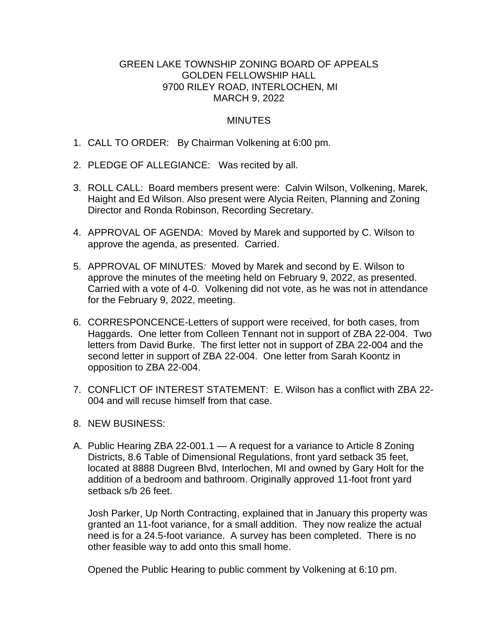## GREEN LAKE TOWNSHIP ZONING BOARD OF APPEALS GOLDEN FELLOWSHIP HALL 9700 RILEY ROAD, INTERLOCHEN, MI MARCH 9, 2022

## **MINUTES**

- 1. CALL TO ORDER: By Chairman Volkening at 6:00 pm.
- 2. PLEDGE OF ALLEGIANCE: Was recited by all.
- 3. ROLL CALL: Board members present were: Calvin Wilson, Volkening, Marek, Haight and Ed Wilson. Also present were Alycia Reiten, Planning and Zoning Director and Ronda Robinson, Recording Secretary.
- 4. APPROVAL OF AGENDA: Moved by Marek and supported by C. Wilson to approve the agenda, as presented. Carried.
- 5. APPROVAL OF MINUTES*:* Moved by Marek and second by E. Wilson to approve the minutes of the meeting held on February 9, 2022, as presented. Carried with a vote of 4-0. Volkening did not vote, as he was not in attendance for the February 9, 2022, meeting.
- 6. CORRESPONCENCE-Letters of support were received, for both cases, from Haggards. One letter from Colleen Tennant not in support of ZBA 22-004. Two letters from David Burke. The first letter not in support of ZBA 22-004 and the second letter in support of ZBA 22-004. One letter from Sarah Koontz in opposition to ZBA 22-004.
- 7. CONFLICT OF INTEREST STATEMENT: E. Wilson has a conflict with ZBA 22- 004 and will recuse himself from that case.
- 8. NEW BUSINESS:
- A. Public Hearing ZBA 22-001.1 A request for a variance to Article 8 Zoning Districts, 8.6 Table of Dimensional Regulations, front yard setback 35 feet, located at 8888 Dugreen Blvd, Interlochen, MI and owned by Gary Holt for the addition of a bedroom and bathroom. Originally approved 11-foot front yard setback s/b 26 feet.

Josh Parker, Up North Contracting, explained that in January this property was granted an 11-foot variance, for a small addition. They now realize the actual need is for a 24.5-foot variance. A survey has been completed. There is no other feasible way to add onto this small home.

Opened the Public Hearing to public comment by Volkening at 6:10 pm.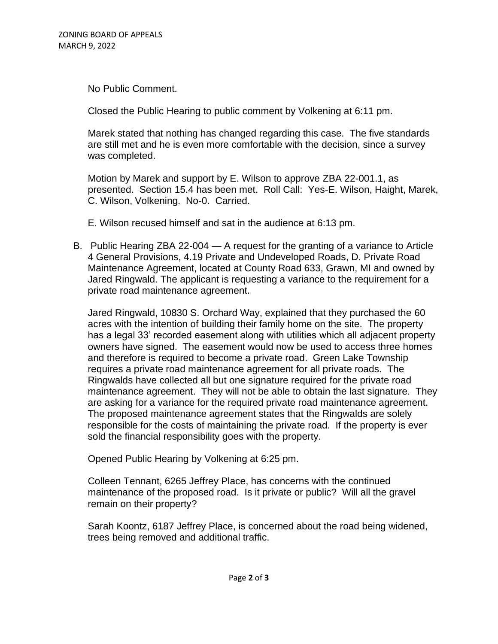No Public Comment.

Closed the Public Hearing to public comment by Volkening at 6:11 pm.

Marek stated that nothing has changed regarding this case. The five standards are still met and he is even more comfortable with the decision, since a survey was completed.

Motion by Marek and support by E. Wilson to approve ZBA 22-001.1, as presented. Section 15.4 has been met. Roll Call: Yes-E. Wilson, Haight, Marek, C. Wilson, Volkening. No-0. Carried.

E. Wilson recused himself and sat in the audience at 6:13 pm.

B. Public Hearing ZBA 22-004 — A request for the granting of a variance to Article 4 General Provisions, 4.19 Private and Undeveloped Roads, D. Private Road Maintenance Agreement, located at County Road 633, Grawn, MI and owned by Jared Ringwald. The applicant is requesting a variance to the requirement for a private road maintenance agreement.

Jared Ringwald, 10830 S. Orchard Way, explained that they purchased the 60 acres with the intention of building their family home on the site. The property has a legal 33' recorded easement along with utilities which all adjacent property owners have signed. The easement would now be used to access three homes and therefore is required to become a private road. Green Lake Township requires a private road maintenance agreement for all private roads. The Ringwalds have collected all but one signature required for the private road maintenance agreement. They will not be able to obtain the last signature. They are asking for a variance for the required private road maintenance agreement. The proposed maintenance agreement states that the Ringwalds are solely responsible for the costs of maintaining the private road. If the property is ever sold the financial responsibility goes with the property.

Opened Public Hearing by Volkening at 6:25 pm.

Colleen Tennant, 6265 Jeffrey Place, has concerns with the continued maintenance of the proposed road. Is it private or public? Will all the gravel remain on their property?

Sarah Koontz, 6187 Jeffrey Place, is concerned about the road being widened, trees being removed and additional traffic.